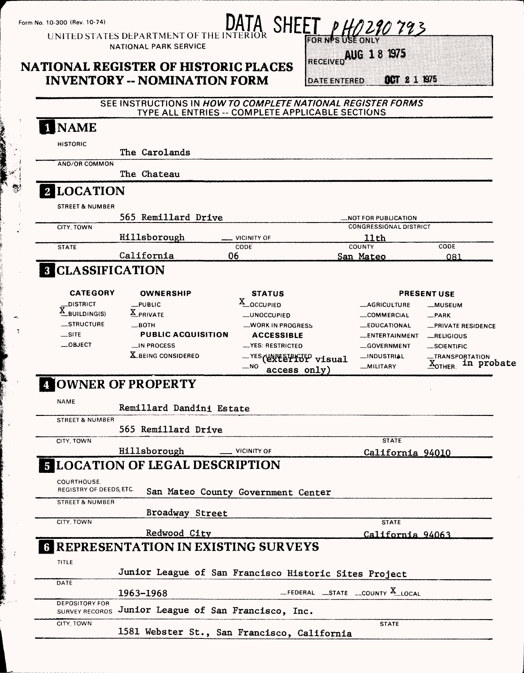# Form No. 10-300 (Rev. 10-74)<br>UNITED STATES DEPARTMENT OF THE INTERIOR UNITED STATES

NATIONAL PARK SERVICE

## **NATIONAL REGISTER OF HISTORIC PLACES INVENTORY -- NOMINATION FORM**

RECEIVED AUG 18 1975

OCT 2 1 1975 **DATE ENTERED** 

SEE INSTRUCTIONS IN *HOW TO COMPLETE NATIONAL REGISTER FORMS* TYPE ALL ENTRIES -- COMPLETE APPLICABLE SECTIONS

| <b>HISTORIC</b>                                | The Carolands                                               |                                                       |                                       |                                                                        |
|------------------------------------------------|-------------------------------------------------------------|-------------------------------------------------------|---------------------------------------|------------------------------------------------------------------------|
| AND/OR COMMON                                  |                                                             |                                                       |                                       |                                                                        |
|                                                | The Chateau                                                 |                                                       |                                       |                                                                        |
| 2 LOCATION                                     |                                                             |                                                       |                                       |                                                                        |
| <b>STREET &amp; NUMBER</b>                     |                                                             |                                                       |                                       |                                                                        |
|                                                | 565 Remillard Drive                                         |                                                       | <b>NOT FOR PUBLICATION.</b>           |                                                                        |
| CITY, TOWN                                     | Hillsborough                                                | <b>VICINITY OF</b>                                    | <b>CONGRESSIONAL DISTRICT</b><br>11th |                                                                        |
| <b>STATE</b>                                   |                                                             | CODE                                                  | COUNTY                                | CODE                                                                   |
|                                                | California                                                  | 06                                                    | San Mateo                             | 081                                                                    |
| <b>3 CLASSIFICATION</b>                        |                                                             |                                                       |                                       |                                                                        |
| <b>CATEGORY</b>                                | <b>OWNERSHIP</b>                                            | <b>STATUS</b>                                         |                                       | <b>PRESENT USE</b>                                                     |
| _DISTRICT                                      | $L$ PUBLIC                                                  | X_OCCUPIED                                            | <b>__AGRICULTURE</b>                  | __MUSEUM                                                               |
| $\underline{X}_{\text{BUILDING}(S)}$           | X PRIVATE                                                   | <b>LUNOCCUPIED</b>                                    | COMMERCIAL                            | $-$ PARK                                                               |
| __STRUCTURE                                    | $\equiv$ BOTH                                               | <b>WORK IN PROGRESS</b>                               | <b>EDUCATIONAL</b>                    | <b>_PRIVATE RESIDENCE</b>                                              |
| $\equiv$ SITE                                  | <b>PUBLIC ACQUISITION</b>                                   | <b>ACCESSIBLE</b>                                     | __ENTERTAINMENT                       | $-$ RELIGIOUS                                                          |
| $\_$ OBJECT                                    | __IN PROCESS                                                | <b>__YES: RESTRICTED</b>                              | __GOVERNMENT                          | __SCIENTIFIC                                                           |
|                                                | X BEING CONSIDERED                                          | $-$ NO<br>access only)                                | __INDUSTRIAL<br><b>MILITARY</b>       | -TRANSPORTATION<br>$\mathbf{\underline{X}}_\textsf{OTHER:}$ in probate |
|                                                |                                                             |                                                       |                                       |                                                                        |
|                                                | OWNER OF PROPERTY                                           |                                                       |                                       |                                                                        |
| <b>NAME</b>                                    | Remillard Dandini Estate                                    |                                                       |                                       |                                                                        |
| <b>STREET &amp; NUMBER</b>                     |                                                             |                                                       |                                       |                                                                        |
| CITY, TOWN                                     | 565 Remillard Drive                                         |                                                       | <b>STATE</b>                          |                                                                        |
|                                                | Hillsborough                                                | <b>VICINITY OF</b>                                    | California 94010                      |                                                                        |
|                                                | <b>E LOCATION OF LEGAL DESCRIPTION</b>                      |                                                       |                                       |                                                                        |
| COURTHOUSE.                                    |                                                             |                                                       |                                       |                                                                        |
| REGISTRY OF DEEDS, ETC.                        |                                                             | San Mateo County Government Center                    |                                       |                                                                        |
| <b>STREET &amp; NUMBER</b>                     |                                                             |                                                       |                                       |                                                                        |
| CITY, TOWN                                     | Broadway Street                                             |                                                       | <b>STATE</b>                          |                                                                        |
|                                                |                                                             |                                                       |                                       |                                                                        |
|                                                | Redwood City<br><b>6 REPRESENTATION IN EXISTING SURVEYS</b> |                                                       | California 94063                      |                                                                        |
| <b>TITLE</b>                                   |                                                             |                                                       |                                       |                                                                        |
|                                                |                                                             | Junior League of San Francisco Historic Sites Project |                                       |                                                                        |
| DATE                                           |                                                             |                                                       |                                       |                                                                        |
| <b>DEPOSITORY FOR</b><br><b>SURVEY RECORDS</b> | 1963-1968                                                   | $-$ FEDERAL $-$ STATE $-$ COUNTY X LOCAL              |                                       |                                                                        |
| CITY, TOWN                                     | Junior League of San Francisco, Inc.                        | 1581 Webster St., San Francisco, California           | <b>STATE</b>                          |                                                                        |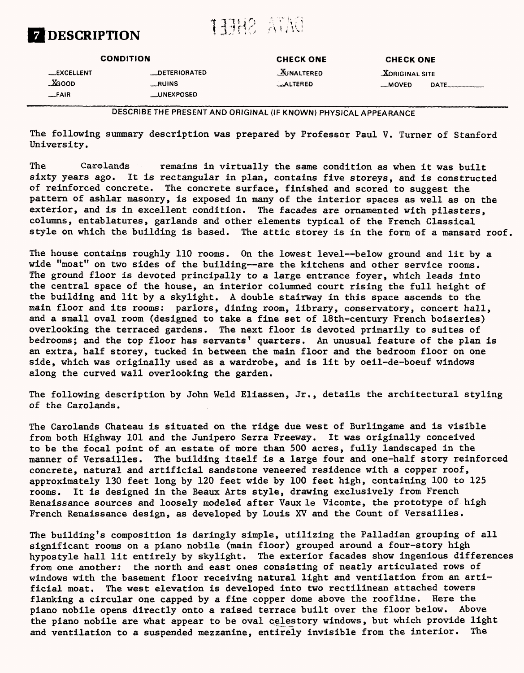

## DATA SHEFT

|                                        | <b>CONDITION</b>                                           | <b>CHECK ONE</b>                | <b>CHECK ONE</b>                  |  |
|----------------------------------------|------------------------------------------------------------|---------------------------------|-----------------------------------|--|
| __EXCELLENT<br><b>XGOOD</b><br>$-FAIR$ | <b>LOETERIORATED</b><br><b>RUINS</b><br><b>__UNEXPOSED</b> | <b>WINALTERED</b><br>$$ ALTERED | <b>XORIGINAL SITE</b><br>$-MOVED$ |  |

**DESCRIBE THE PRESENT AND ORIGINAL (IF KNOWN) PHYSICAL APPEARANCE**

The following summary description was prepared by Professor Paul V. Turner of Stanford University.

The Carolands remains in virtually the same condition as when it was built sixty years ago. It is rectangular in plan, contains five storeys, and is constructed of reinforced concrete. The concrete surface, finished and scored to suggest the pattern of ashlar masonry, is exposed in many of the interior spaces as well as on the exterior, and is in excellent condition. The facades are ornamented with pilasters, columns, entablatures, garlands and other elements typical of the French Classical style on which the building is based. The attic storey is in the form of a mansard roof.

The house contains roughly 110 rooms. On the lowest level--below ground and lit by a wide "moat" on two sides of the building--are the kitchens and other service rooms. The ground floor is devoted principally to a large entrance foyer, which leads into the central space of the house, an interior columned court rising the full height of the building and lit by a skylight. A double stairway in this space ascends to the main floor and its rooms: parlors, dining room, library, conservatory, concert hall, and a small oval room (designed to take a fine set of 18th-century French boiseries) overlooking the terraced gardens. The next floor is devoted primarily to suites of bedrooms; and the top floor has servants' quarters. An unusual feature of the plan is an extra, half storey, tucked in between the main floor and the bedroom floor on one side, which was originally used as a wardrobe, and is lit by oeil-de-boeuf windows along the curved wall overlooking the garden.

The following description by John Weld Eliassen, Jr., details the architectural styling of the Carolands.

The Carolands Chateau is situated on the ridge due west of Burlingame and is visible from both Highway 101 and the Junipero Serra Freeway. It was originally conceived to be the focal point of an estate of more than 500 acres, fully landscaped in the manner of Versailles. The building itself is a large four and one-half story reinforced concrete, natural and artificial sandstone veneered residence with a copper roof, approximately 130 feet long by 120 feet wide by 100 feet high, containing 100 to 125 rooms. It is designed in the Beaux Arts style, drawing exclusively from French Renaissance sources and loosely modeled after Vaux le Vicomte, the prototype of high French Renaissance design, as developed by Louis XV and the Count of Versailles.

The building's composition is daringly simple, utilizing the Palladian grouping of all significant rooms on a piano nobile (main floor) grouped around a four-story high hypostyle hall lit entirely by skylight. The exterior facades show ingenious differences from one another: the north and east ones consisting of neatly articulated rows of windows with the basement floor receiving natural light and ventilation from an artificial moat. The west elevation is developed into two rectilinean attached towers flanking a circular one capped by a fine copper dome above the roofline. Here the piano nobile opens directly onto a raised terrace built over the floor below. Above the piano nobile are what appear to be oval celestory windows, but which provide light and ventilation to a suspended mezzanine, entirely invisible from the interior. The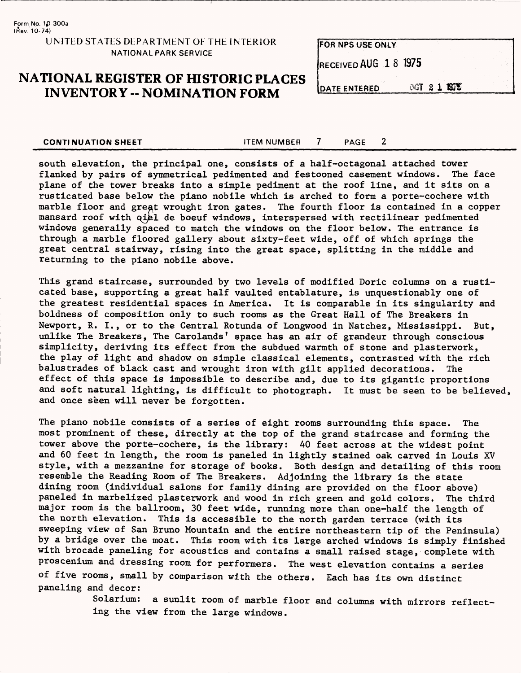## **NATIONAL REGISTER OF HISTORIC PLACES INVENTORY -- NOMINATION FORM**

FOR NPS USE ONLY RECEIVED AUG 18 1975 CCT 2 1 1975 **DATE ENTERED** 

**CONTINUATION SHEET** THEM NUMBER 7 PAGE 2

south elevation, the principal one, consists of a half-octagonal attached tower flanked by pairs of symmetrical pedimented and festooned casement windows. The face plane of the tower breaks into a simple pediment at the roof line, and it sits on a rusticated base below the piano nobile which is arched to form a porte-cochere with marble floor and great wrought iron gates. The fourth floor is contained in a copper mansard roof with qiel de boeuf windows, interspersed with rectilinear pedimented windows generally spaced to match the windows on the floor below. The entrance is through a marble floored gallery about sixty-feet wide, off of which springs the great central stairway, rising into the great space, splitting in the middle and returning to the piano nobile above.

This grand staircase, surrounded by two levels of modified Doric columns on a rusticated base, supporting a great half vaulted entablature, is unquestionably one of the greatest residential spaces in America. It is comparable in its singularity and boldness of composition only to such rooms as the Great Hall of The Breakers in Newport, R. I., or to the Central Rotunda of Longwood in Natchez, Mississippi. But, unlike The Breakers, The Carolands' space has an air of grandeur through conscious simplicity, deriving its effect from the subdued warmth of stone and plasterwork, the play of light and shadow on simple classical elements, contrasted with the rich balustrades of black cast and wrought iron with gilt applied decorations. The effect of this space is impossible to describe and, due to its gigantic proportions and soft natural lighting, is difficult to photograph. It must be seen to be believed, and once seen will never be forgotten.

The piano nobile consists of a series of eight rooms surrounding this space. The most prominent of these, directly at the top of the grand staircase and forming the tower above the porte-cochere, is the library: 40 feet across at the widest point and 60 feet in length, the room is paneled in lightly stained oak carved in Louis XV style, with a mezzanine for storage of books. Both design and detailing of this room resemble the Reading Room of The Breakers. Adjoining the library is the state dining room (individual salons for family dining are provided on the floor above) paneled in marbelized plasterwork and wood in rich green and gold colors. The third major room is the ballroom, 30 feet wide, running more than one-half the length of the north elevation. This is accessible to the north garden terrace (with its sweeping view of San Bruno Mountain and the entire northeastern tip of the Peninsula) by a bridge over the moat. This room with its large arched windows is simply finished with brocade paneling for acoustics and contains a small raised stage, complete with proscenium and dressing room for performers. The west elevation contains a series of five rooms, small by comparison with the others. Each has its own distinct paneling and decor:

> Solarium: a sunlit room of marble floor and columns with mirrors reflecting the view from the large windows.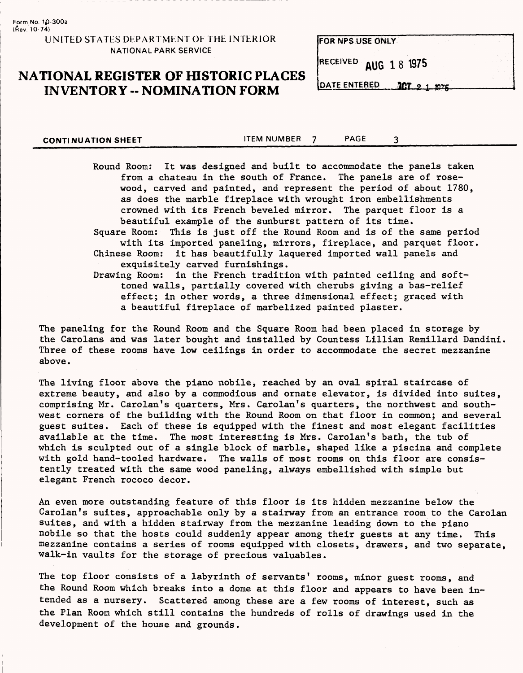**Form No 1p-300a (Aev. 10-74)**

**UNITED STATES DEPARTMENT OF THE INTERIOR NATIONAL PARK SERVICE**

## **NATIONAL REGISTER OF HISTORIC PLACES INVENTORY -- NOMINATION FORM DATE ENTERED DCT** 2 1 10%

**FOR NPS USE ONLY**

**RECEIVED** AUG 1 8 1975

**CONTINUATION SHEET** TEM NUMBER 7 PAGE 3

Round Room: It was designed and built to accommodate the panels taken from a chateau in the south of France. The panels are of rosewood, carved and painted, and represent the period of about 1780, as does the marble fireplace with wrought iron embellishments crowned with its French beveled mirror. The parquet floor is a beautiful example of the sunburst pattern of its time. Square Room: This is just off the Round Room and is of the same period with its imported paneling, mirrors, fireplace, and parquet floor. Chinese Room: it has beautifully laquered imported wall panels and exquisitely carved furnishings.

Drawing Room: in the French tradition with painted ceiling and softtoned walls, partially covered with cherubs giving a bas-relief effect; in other words, a three dimensional effect; graced with a beautiful fireplace of marbelized painted plaster.

The paneling for the Round Room and the Square Room had been placed in storage by the Carolans and was later bought and installed by Countess Lillian Remillard Dandini. Three of these rooms have low ceilings in order to accommodate the secret mezzanine above.

The living floor above the piano nobile, reached by an oval spiral staircase of extreme beauty, and also by a commodious and ornate elevator, is divided into suites, comprising Mr. Carolan's quarters, Mrs. Carolan's quarters, the northwest and southwest corners of the building with the Round Room on that floor in common; and several guest suites. Each of these is equipped with the finest and most elegant facilities available at the time. The most interesting is Mrs. Carolan's bath, the tub of which is sculpted out of a single block of marble, shaped like a piscina and complete with gold hand-tooled hardware. The walls of most rooms on this floor are consistently treated with the same wood paneling, always embellished with simple but elegant French rococo decor.

An even more outstanding feature of this floor is its hidden mezzanine below the Carolan's suites, approachable only by a stairway from an entrance room to the Carolan suites, and with a hidden stairway from the mezzanine leading down to the piano nobile so that the hosts could suddenly appear among their guests at any time. This mezzanine contains a series of rooms equipped with closets, drawers, and two separate, walk-in vaults for the storage of precious valuables.

The top floor consists of a labyrinth of servants' rooms, minor guest rooms, and the Round Room which breaks into a dome at this floor and appears to have been intended as a nursery. Scattered among these are a few rooms of interest, such as the Plan Room which still contains the hundreds of rolls of drawings used in the development of the house and grounds.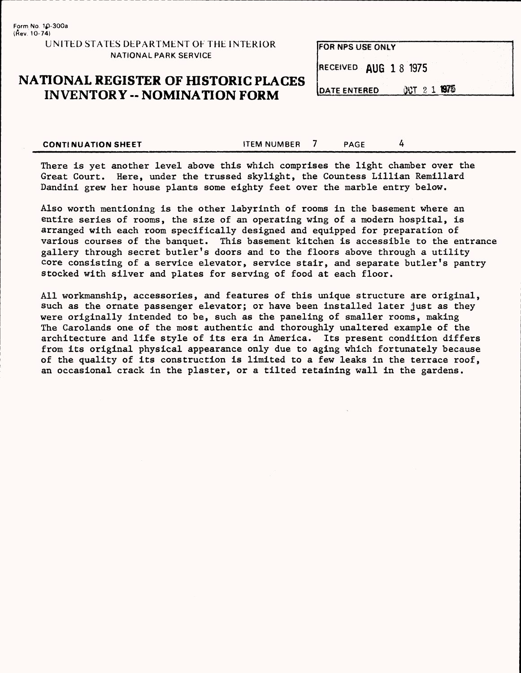## **NATIONAL REGISTER OF HISTORIC PLACES INVENTORY -- NOMINATION FORM** DATE ENTERED

| FOR NPS USE ONLY      |  |  |  |
|-----------------------|--|--|--|
| RECEIVED AUG 1 8 1975 |  |  |  |
|                       |  |  |  |

OCT 2 1 1975

**CONTINUATION SHEET CONTINUATION SHEET** 

There is yet another level above this which comprises the light chamber over the Great Court. Here, under the trussed skylight, the Countess Lillian Remillard Dandini grew her house plants some eighty feet over the marble entry below.

Also worth mentioning is the other labyrinth of rooms in the basement where an entire series of rooms, the size of an operating wing of a modern hospital, is arranged with each room specifically designed and equipped for preparation of various courses of the banquet. This basement kitchen is accessible to the entrance gallery through secret butler's doors and to the floors above through a utility core consisting of a service elevator, service stair, and separate butler's pantry stocked with silver and plates for serving of food at each floor.

All workmanship, accessories, and features of this unique structure are original, such as the ornate passenger elevator; or have been installed later just as they were originally intended to be, such as the paneling of smaller rooms, making The Carolands one of the most authentic and thoroughly unaltered example of the architecture and life style of its era in America. Its present condition differs from its original physical appearance only due to aging which fortunately because of the quality of its construction is limited to a few leaks in the terrace roof, an occasional crack in the plaster, or a tilted retaining wall in the gardens.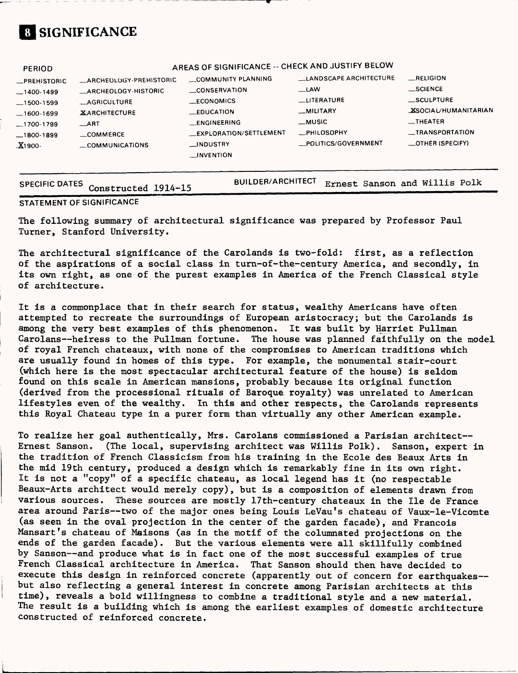## **SIGNIFICANCE**

| <b>PERIOD</b>       |                            | AREAS OF SIGNIFICANCE -- CHECK AND JUSTIFY BELOW |                        |                             |
|---------------------|----------------------------|--------------------------------------------------|------------------------|-----------------------------|
| <b>_PREHISTORIC</b> | -ARCHEOLOGY-PREHISTORIC    | COMMUNITY PLANNING                               | LANDSCAPE ARCHITECTURE | <b>RELIGION</b>             |
| $-1400-1499$        | <b>ARCHEOLOGY-HISTORIC</b> | <b>CONSERVATION</b>                              | _LAW                   | __SCIENCE                   |
| $-1500-1599$        | <b>AGRICULTURE</b>         | <b>ECONOMICS</b>                                 | <b>LUTERATURE</b>      | <b>SCULPTURE</b>            |
| $-1600-1699$        | <b>XARCHITECTURE</b>       | <b>LEDUCATION</b>                                | _MILITARY              | <b>XSOCIAL/HUMANITARIAN</b> |
| $-1700-1799$        | $\_$ ART                   | <b>LENGINEERING</b>                              | __MUSIC                | $\equiv$ THEATER            |
| $-1800-1899$        | COMMERCE                   | _EXPLORATION/SETTLEMENT                          | <b>__PHILOSOPHY</b>    | <b>__TRANSPORTATION</b>     |
| $X1900 -$           | COMMUNICATIONS             | __INDUSTRY                                       | POLITICS/GOVERNMENT    | _OTHER (SPECIFY)            |
|                     |                            | <b>LINVENTION</b>                                |                        |                             |
|                     |                            |                                                  |                        |                             |

| SPECIFIC DATES Constructed 1914-15 | BUILDER/ARCHITECT Ernest Sanson and Willis Polk |
|------------------------------------|-------------------------------------------------|
|                                    |                                                 |

#### **STATEMENT OF SIGNIFICANCE**

The following summary of architectural significance was prepared by Professor Paul Turner, Stanford University.

The architectural significance of the Carolands is two-fold: first, as a reflection of the aspirations of a social class in turn-of-the-century America, and secondly, in its own right, as one of the purest examples in America of the French Classical style of architecture.

It is a commonplace that in their search for status, wealthy Americans have often attempted to recreate the surroundings of European aristocracy; but the Carolands is among the very best examples of this phenomenon. It was built by Harriet Pullman Carolans—heiress to the Pullman fortune. The house was planned faithfully on the model of royal French chateaux, with none of the compromises to American traditions which are usually found in homes of this type. For example, the monumental stair-court (which here is the most spectacular architectural feature of the house) is seldom found on this scale in American mansions, probably because its original function (derived from the processional rituals of Baroque royalty) was unrelated to American lifestyles even of the wealthy. In this and other respects, the Carolands represents this Royal Chateau type in a purer form than virtually any other American example.

To realize her goal authentically, Mrs. Carolans commissioned a Parisian architect— Ernest Sanson. (The local, supervising architect was Willis Polk). Sanson, expert in the tradition of French Classicism from his training in the Ecole des Beaux Arts in the mid 19th century, produced a design which is remarkably fine in its own right. It is not a "copy" of a specific chateau, as local legend has it (no respectable Beaux-Arts architect would merely copy), but is a composition of elements drawn from various sources. These sources are mostly 17th-century chateaux in the lie de France area around Paris—two of the major ones being Louis LeVau's chateau of Vaux-le-Vicomte (as seen in the oval projection in the center of the garden facade), and Francois Mansart's chateau of Maisons (as in the motif of the columnated projections on the ends of the garden facade). But the various elements were all skillfully combined by Sanson—and produce what is in fact one of the most successful examples of true French Classical architecture in America. That Sanson should then have decided to execute this design in reinforced concrete (apparently out of concern for earthquakes but also reflecting a general interest in concrete among Parisian architects at this time), reveals a bold willingness to combine a traditional style and a new material. The result is a building which is among the earliest examples of domestic architecture constructed of reinforced concrete.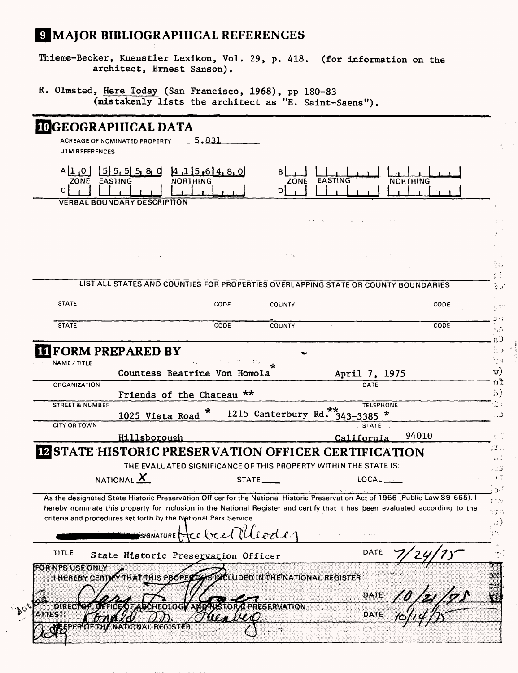## MAJOR BIBLIOGRAPHICAL REFERENCES

Thieme-Becker, Kuenstler Lexikon, Vol. 29, p. 418. (for information on the architect, Ernest Sanson).

R. Olmsted, Here Today (San Francisco, 1968), pp 180-83 (mistakenly lists the architect as "E. Saint-Saens").

|                            | <b>IDGEOGRAPHICAL DATA</b><br>ACREAGE OF NOMINATED PROPERTY                                                                                                                                                                                                     | <u>5.831</u> |                              |                                                                  |                 |
|----------------------------|-----------------------------------------------------------------------------------------------------------------------------------------------------------------------------------------------------------------------------------------------------------------|--------------|------------------------------|------------------------------------------------------------------|-----------------|
| UTM REFERENCES             |                                                                                                                                                                                                                                                                 |              |                              |                                                                  |                 |
| 0,1 <br>ZONE<br>C.         | $[5]$ 5, 5 5, 8, 0<br><b>EASTING</b>                                                                                                                                                                                                                            | 4 15 6 4 8 0 | ZONE<br>DI                   | <b>EASTING</b>                                                   | <b>NORTHING</b> |
|                            | <b>VERBAL BOUNDARY DESCRIPTION</b>                                                                                                                                                                                                                              |              |                              |                                                                  |                 |
|                            |                                                                                                                                                                                                                                                                 |              |                              |                                                                  |                 |
|                            |                                                                                                                                                                                                                                                                 |              |                              | and the state of the state of the state                          |                 |
|                            |                                                                                                                                                                                                                                                                 |              | $2-1.2$                      |                                                                  |                 |
|                            | LIST ALL STATES AND COUNTIES FOR PROPERTIES OVERLAPPING STATE OR COUNTY BOUNDARIES                                                                                                                                                                              |              |                              |                                                                  |                 |
|                            |                                                                                                                                                                                                                                                                 |              |                              |                                                                  |                 |
| <b>STATE</b>               |                                                                                                                                                                                                                                                                 | CODE         | <b>COUNTY</b>                |                                                                  | CODE            |
| <b>STATE</b>               |                                                                                                                                                                                                                                                                 | CODE         | COUNTY                       |                                                                  | CODE            |
|                            |                                                                                                                                                                                                                                                                 |              |                              |                                                                  |                 |
|                            | <b>III FORM PREPARED BY</b>                                                                                                                                                                                                                                     |              |                              |                                                                  |                 |
| NAME / TITLE               |                                                                                                                                                                                                                                                                 |              |                              |                                                                  |                 |
|                            | Countess Beatrice Von Homola                                                                                                                                                                                                                                    |              |                              | April 7, 1975                                                    |                 |
| ORGANIZATION               |                                                                                                                                                                                                                                                                 |              |                              | DATE                                                             |                 |
|                            | Friends of the Chateau **                                                                                                                                                                                                                                       |              |                              |                                                                  |                 |
| <b>STREET &amp; NUMBER</b> |                                                                                                                                                                                                                                                                 | ×            | 1215 Canterbury Rd. 343-3385 | <b>TELEPHONE</b><br>$\pmb{\ast}$                                 |                 |
| CITY OR TOWN               | 1025 Vista Road                                                                                                                                                                                                                                                 |              |                              | STATE .                                                          |                 |
|                            | <b>Hillsborough</b>                                                                                                                                                                                                                                             |              |                              | California                                                       | 94010           |
|                            |                                                                                                                                                                                                                                                                 |              |                              |                                                                  |                 |
|                            | <b>IN STATE HISTORIC PRESERVATION OFFICER CERTIFICATION</b>                                                                                                                                                                                                     |              |                              |                                                                  |                 |
|                            |                                                                                                                                                                                                                                                                 |              |                              | THE EVALUATED SIGNIFICANCE OF THIS PROPERTY WITHIN THE STATE IS: |                 |
|                            | NATIONAL X                                                                                                                                                                                                                                                      |              | $STATE$ <sub>----</sub>      | $LOCAL$ <sub>___</sub>                                           |                 |
|                            |                                                                                                                                                                                                                                                                 |              |                              |                                                                  |                 |
|                            | As the designated State Historic Preservation Officer for the National Historic Preservation Act of 1966 (Public Law 89-665). I<br>hereby nominate this property for inclusion in the National Register and certify that it has been evaluated according to the |              |                              |                                                                  |                 |
|                            | criteria and procedures set forth by the National Park Service.                                                                                                                                                                                                 |              |                              |                                                                  |                 |
|                            |                                                                                                                                                                                                                                                                 |              |                              |                                                                  |                 |
|                            | SIGNATURE                                                                                                                                                                                                                                                       |              | Mleode                       | i dia                                                            |                 |
| <b>TITLE</b>               | State Historic Preservation Officer                                                                                                                                                                                                                             |              |                              | <b>DATE</b>                                                      |                 |
| <b>FOR NPS USE ONLY</b>    |                                                                                                                                                                                                                                                                 |              |                              |                                                                  |                 |
|                            | I HEREBY CERTIFY THAT THIS PROPERLY IS INCLUDED IN THE NATIONAL REGISTER                                                                                                                                                                                        |              |                              |                                                                  |                 |
|                            |                                                                                                                                                                                                                                                                 |              |                              |                                                                  |                 |
|                            |                                                                                                                                                                                                                                                                 |              |                              | DATE                                                             |                 |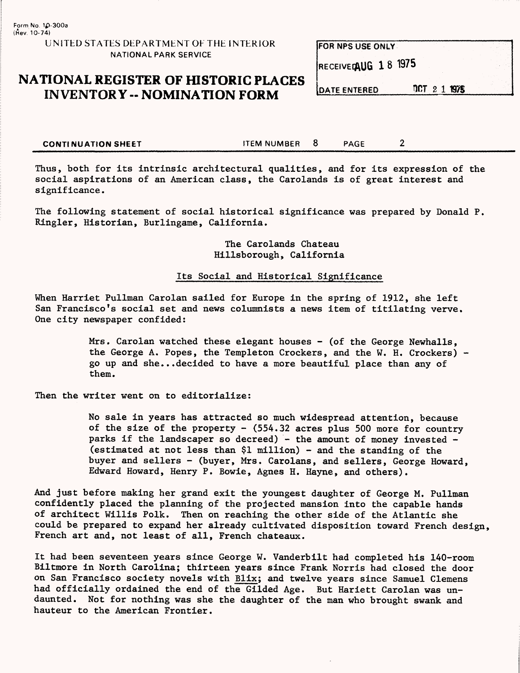#### UNITED STATES DEPARTMENT OF THE INTERIOR NATIONAL PARK SERVICE

## **NATIONAL REGISTER OF HISTORIC PLACES INVENTORY -- NOMINATION FORM** DATE ENTERED

| <b>FOR NPS USE ONLY</b> |  |  |
|-------------------------|--|--|
| RECEIVED AUG 18 1975    |  |  |
|                         |  |  |

DCT 2 1 1975

**CONTINUATION SHEET** THEM NUMBER 8 PAGE 2

Thus, both for its intrinsic architectural qualities, and for its expression of the social aspirations of an American class, the Carolands is of great interest and significance.

The following statement of social historical significance was prepared by Donald P. Ringler, Historian, Burlingame, California.

> The Carolands Chateau Hillsborough, California

#### Its Social and Historical Significance

When Harriet Pullman Carolan sailed for Europe in the spring of 1912, she left San Francisco's social set and news columnists a news item of titilating verve. One city newspaper confided:

> Mrs. Carolan watched these elegant houses - (of the George Newhalls, the George A. Popes, the Templeton Crockers, and the W. H. Crockers) go up and she...decided to have a more beautiful place than any of them.

Then the writer went on to editorialize:

No sale in years has attracted so much widespread attention, because of the size of the property - (554.32 acres plus 500 more for country parks if the landscaper so decreed) - the amount of money invested - (estimated at not less than \$1 million) - and the standing of the buyer and sellers - (buyer, Mrs. Carolans, and sellers, George Howard, Edward Howard, Henry P. Bowie, Agnes H. Hayne, and others).

And just before making her grand exit the youngest daughter of George M. Pullman confidently placed the planning of the projected mansion into the capable hands of architect Willis Polk. Then on reaching the other side of the Atlantic she could be prepared to expand her already cultivated disposition toward French design, French art and, not least of all, French chateaux.

It had been seventeen years since George W. Vanderbilt had completed his 140-room Biltmore in North Carolina; thirteen years since Frank Norris had closed the door on San Francisco society novels with Blix; and twelve years since Samuel Clemens had officially ordained the end of the Gilded Age. But Hariett Carolan was undaunted. Not for nothing was she the daughter of the man who brought swank and hauteur to the American Frontier.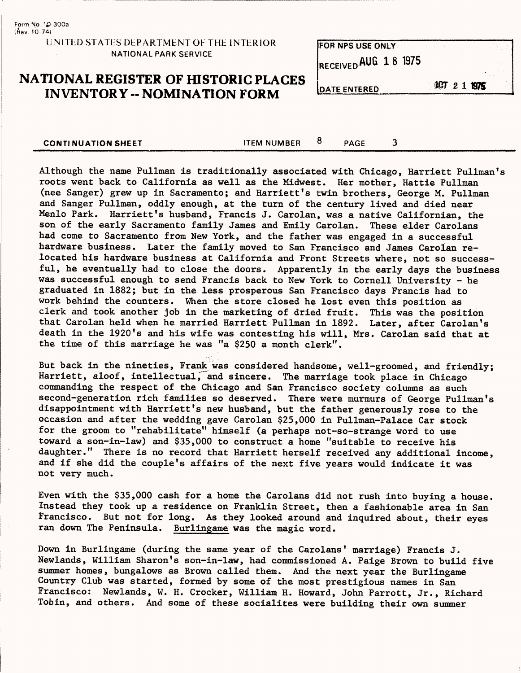Form No. 1£-300a  ${frev. 10-74}$ 

#### UNITED STATES DEPARTMENT OF THE INTERIOR NATIONAL PARK SERVICE

## **NATIONAL REGISTER OF HISTORIC PLACES**  INVENTORY -- NOMINATION FORM DATE ENTERED **6CT 2 1 BYS**

**CONTINUATION SHEET CONTINUATION SHEET** CONTINUATION SHEET

**FOR NPS USE ONLY** RECEIVED AUG 1 8 1975

Although the name Pullman is traditionally associated with Chicago, Harriett Pullman's roots went back to California as well as the Midwest. Her mother, Hattie Pullman (nee Sanger) grew up in Sacramento; and Harriett's twin brothers, George M. Pullman and Sanger Pullman, oddly enough, at the turn of the century lived and died near Menlo Park. Harriett's husband, Francis J. Carolan, was a native Californian, the son of the early Sacramento family James and Emily Carolan. These elder Carolans had come to Sacramento from New York, and the father was engaged in a successful hardware business. Later the family moved to San Francisco and James Carolan relocated his hardware business at California and Front Streets where, not so successful, he eventually had to close the doors. Apparently in the early days the business was successful enough to send Francis back to New York to Cornell University - he graduated in 1882; but in the less prosperous San Francisco days Francis had to work behind the counters. When the store closed he lost even this position as clerk and took another job in the marketing of dried fruit. This was the position that Carolan held when he married Harriett Pullman in 1892. Later, after Carolan's death in the 1920's and his wife was contesting his will, Mrs. Carolan said that at the time of this marriage he was "a \$250 a month clerk".

But back in the nineties, Frank was considered handsome, well-groomed, and friendly; Harriett, aloof, intellectual, and sincere. The marriage took place in Chicago commanding the respect of the Chicago and San Francisco society columns as such second-generation rich families so deserved. There were murmurs of George Pullman's disappointment with Harriett's new husband, but the father generously rose to the occasion and after the wedding gave Carolan \$25,000 in Pullman-Palace Car stock for the groom to "rehabilitate" himself (a perhaps not-so-strange word to use toward a son-in-law) and \$35,000 to construct a home "suitable to receive his daughter." There is no record that Harriett herself received any additional income, and if she did the couple's affairs of the next five years would indicate it was not very much.

Even with the \$35,000 cash for a home the Carolans did not rush into buying a house. Instead they took up a residence on Franklin Street, then a fashionable area in San Francisco. But not for long. As they looked around and inquired about, their eyes ran down The Peninsula. Burlingame was the magic word.

Down in Burlingame (during the same year of the Carolans' marriage) Francis J. Newlands, William Sharon's son-in-law, had commissioned A. Paige Brown to build five summer homes, bungalows as Brown called them. And the next year the Burlingame Country Club was started, formed by some of the most prestigious names in San Francisco: Newlands, W. H. Crocker, William H. Howard, John Parrott, Jr., Richard Tobin, and others. And some of these socialites were building their own summer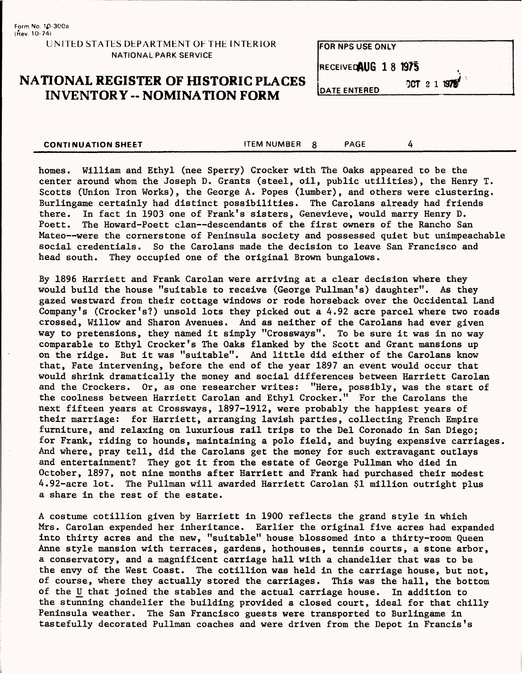#### UMTED STATES DEPARTMENT OF THE INTERIOR NATIONAL PARK SERVICE

## **NATIONAL REGISTER OF HISTORIC PLACES INVENTORY - NOMINATION FORM**

**FOR NPS USE ONLY** RECEIVEDAUG 18 1975 OCT 2 1 1975 **DATE ENTERED** 

| <b>CONTINUATION SHEET</b> | <b>ITEM NUMBER</b> | PAGE |  |
|---------------------------|--------------------|------|--|
|                           |                    |      |  |

homes. William and Ethyl (nee Sperry) Crocker with The Oaks appeared to be the center around whom the Joseph D. Grants (steel, oil, public utilities), the Henry T. Scotts (Union Iron Works), the George A. Popes (lumber), and others were clustering. Burlingame certainly had distinct possibilities. The Carolans already had friends there. In fact in 1903 one of Frank's sisters, Genevieve, would marry Henry D. Poett. The Howard-Poett clan--descendants of the first owners of the Rancho Sam The Howard-Poett clan--descendants of the first owners of the Rancho San Mateo—were the cornerstone of Peninsula society and possessed quiet but unimpeachable social credentials. So the Carolans made the decision to leave San Francisco and head south. They occupied one of the original Brown bungalows.

By 1896 Harriett and Frank Carolan were arriving at a clear decision where they would build the house "suitable to receive (George Pullman's) daughter". As they gazed westward from their cottage windows or rode horseback over the Occidental Land Company's (Crocker's?) unsold lots they picked out a  $4.92$  acre parcel where two roads crossed, Willow and Sharon Avenues. And as neither of the Carolans had ever given way to pretensions, they named it simply "Crossways". To be sure it was in no way comparable to Ethyl Crocker's The Oaks flanked by the Scott and Grant mansions up on the ridge. But it was "suitable". And little did either of the Carolans know that, Fate intervening, before the end of the year 1897 an event would occur that would shrink dramatically the money and social differences between Harriett Carolan and the Crockers. Or, as one researcher writes: "Here, possibly, was the start of the coolness between Harriett Carolan and Ethyl Crocker." For the Carolans the next fifteen years at Crossways, 1897-1912, were probably the happiest years of their marriage: for Harriett, arranging lavish parties, collecting French Empire furniture, and relaxing on luxurious rail trips to the Del Coronado in San Diego; for Frank, riding to hounds, maintaining a polo field, and buying expensive carriages. And where, pray tell, did the Carolans get the money for such extravagant outlays and entertainment? They got it from the estate of George Pullman who died in October, 1897, not nine months after Harriett and Frank had purchased their modest 4.92-acre lot. The Pullman will awarded Harriett Carolan \$1 million outright plus a share in the rest of the estate.

A costume cotillion given by Harriett in 1900 reflects the grand style in which Mrs. Carolan expended her inheritance. Earlier the original five acres had expanded into thirty acres and the new, "suitable" house blossomed into a thirty-room Queen Anne style mansion with terraces, gardens, hothouses, tennis courts, a stone arbor, a conservatory, and a magnificent carriage hall with a chandelier that was to be the envy of the West Coast. The cotillion was held in the carriage house, but not, of course, where they actually stored the carriages. This was the hall, the bottom of the U that joined the stables and the actual carriage house. In addition to the stunning chandelier the building provided a closed court, ideal for that chilly Peninsula weather. The San Francisco guests were transported to Burlingame in tastefully decorated Pullman coaches and were driven from the Depot in Francis's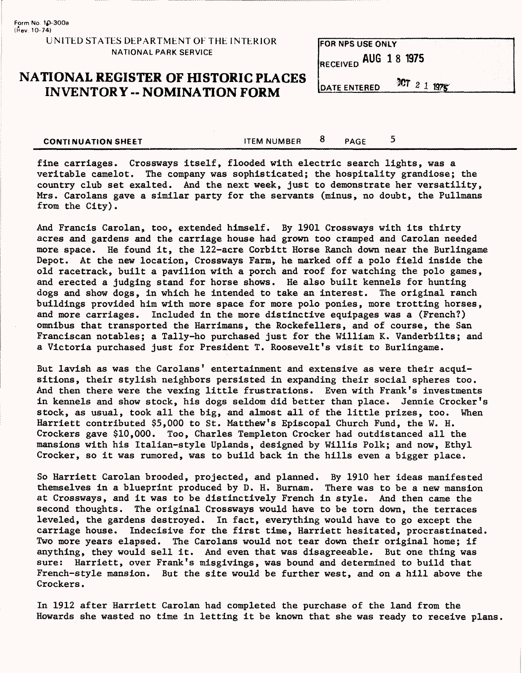**Form No 1p-300a** (Hev. 10-74)

#### UNITED STATES DEPARTMENT OF THE INTERIOR NATIONAL PARK SERVICE

## **NATIONAL REGISTER OF HISTORIC PLACES INVENTORY - NOMINATION FORM**

**FOR NPS USE ONLY** RECEIVED AUG 1 8 1975 OCT 2 1 1975 **DATE ENTERED** 

**CONTINUATION SHEET** THEM NUMBER  $\overline{8}$  PAGE 5

fine carriages. Crossways itself, flooded with electric search lights, was a veritable camelot. The company was sophisticated; the hospitality grandiose; the country club set exalted. And the next week, just to demonstrate her versatility, Mrs. Carolans gave a similar party for the servants (minus, no doubt, the Pullmans from the City).

And Francis Carolan, too, extended himself. By 1901 Crossways with its thirty acres and gardens and the carriage house had grown too cramped and Carolan needed more space. He found it, the 122-acre Corbitt Horse Ranch down near the Burlingame Depot. At the new location, Crossways Farm, he marked off a polo field inside the old racetrack, built a pavilion with a porch and roof for watching the polo games, and erected a judging stand for horse shows. He also built kennels for hunting dogs and show dogs, in which he intended to take an interest. The original ranch buildings provided him with more space for more polo ponies, more trotting horses, and more carriages. Included in the more distinctive equipages was a (French?) omnibus that transported the Harrimans, the Rockefellers, and of course, the San Franciscan notables; a Tally-ho purchased just for the William K. Vanderbilts; and a Victoria purchased just for President T. Roosevelt's visit to Burlingame.

But lavish as was the Carolans' entertainment and extensive as were their acquisitions, their stylish neighbors persisted in expanding their social spheres too. And then there were the vexing little frustrations. Even with Frank's investments in kennels and show stock, his dogs seldom did better than place. Jennie Crocker's stock, as usual, took all the big, and almost all of the little prizes, too. When Harriett contributed \$5,000 to St. Matthew's Episcopal Church Fund, the W. H. Crockers gave \$10,000. Too, Charles Templeton Crocker had outdistanced all the mansions with his Italian-style Uplands, designed by Willis Polk; and now, Ethyl Crocker, so it was rumored, was to build back in the hills even a bigger place.

So Harriett Carolan brooded, projected, and planned. By 1910 her ideas manifested themselves in a blueprint produced by D. H. Burnam. There was to be a new mansion at Crossways, and it was to be distinctively French in style. And then came the second thoughts. The original Crossways would have to be torn down, the terraces leveled, the gardens destroyed. In fact, everything would have to go except the carriage house. Indecisive for the first time, Harriett hesitated, procrastinated. Two more years elapsed. The Carolans would not tear down their original home; if anything, they would sell it. And even that was disagreeable. But one thing was sure: Harriett, over Frank's misgivings, was bound and determined to build that French-style mansion. But the site would be further west, and on a hill above the Crockers.

In 1912 after Harriett Carolan had completed the purchase of the land from the Howards she wasted no time in letting it be known that she was ready to receive plans.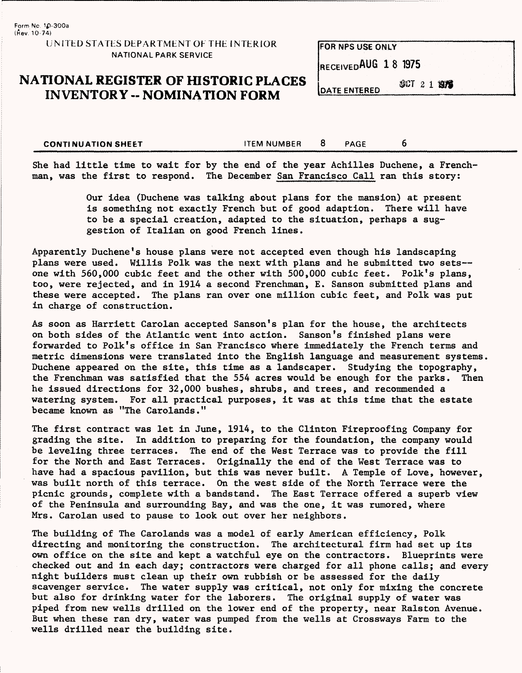#### UNITED STATES DEPARTMENT OF THE INTERIOR NATIONAL PARK SERVICE

## **NATIONAL REGISTER OF HISTORIC PLACES INVENTORY -- NOMINATION FORM**

RECEIVEDAUG 18 1975

FOR NPS USE ONLY

**JCT 2 1 1976 DATE ENTERED** 

**CONTINUATION SHEET ALL SEET ASSESSED ASSESSED ASSESSED ASSESSED ASSESSED ASSESSED ASSESSED ASSESSED ASSESSED ASSESSED ASSESSED ASSESSED ASSESSED ASSESSED ASSESSED ASSESSED ASSESSED ASSESSED ASSESSED ASSESSED ASSESSED ASSE** 

She had little time to wait for by the end of the year Achilles Duchene, a Frenchman, was the first to respond. The December San Francisco Call ran this story:

> Our idea (Duchene was talking about plans for the mansion) at present is something not exactly French but of good adaption. There will have to be a special creation, adapted to the situation, perhaps a suggestion of Italian on good French lines.

Apparently Duchene's house plans were not accepted even though his landscaping plans were used. Willis Polk was the next with plans and he submitted two sets one with 560,000 cubic feet and the other with 500,000 cubic feet. Folk's plans, too, were rejected, and in 1914 a second Frenchman, E. Sanson submitted plans and these were accepted. The plans ran over one million cubic feet, and Polk was put in charge of construction.

As soon as Harriett Carolan accepted Sanson's plan for the house, the architects on both sides of the Atlantic went into action. Sanson's finished plans were forwarded to Folk's office in San Francisco where immediately the French terms and metric dimensions were translated into the English language and measurement systems. Duchene appeared on the site, this time as a landscaper. Studying the topography, the Frenchman was satisfied that the 554 acres would be enough for the parks. Then he issued directions for 32,000 bushes, shrubs, and trees, and recommended a watering system. For all practical purposes, it was at this time that the estate became known as "The Carolands."

The first contract was let in June, 1914, to the Clinton Fireproofing Company for grading the site. In addition to preparing for the foundation, the company would be leveling three terraces. The end of the West Terrace was to provide the fill for the North and East Terraces. Originally the end of the West Terrace was to have had a spacious pavilion, but this was never built. A Temple of Love, however, was built north of this terrace. On the west side of the North Terrace were the picnic grounds, complete with a bandstand. The East Terrace offered a superb view of the Peninsula and surrounding Bay, and was the one, it was rumored, where Mrs. Carolan used to pause to look out over her neighbors.

The building of The Carolands was a model of early American efficiency, Polk directing and monitoring the construction. The architectural firm had set up its own office on the site and kept a watchful eye on the contractors. Blueprints were checked out and in each day; contractors were charged for all phone calls; and every night builders must clean up their own rubbish or be assessed for the daily scavenger service. The water supply was critical, not only for mixing the concrete but also for drinking water for the laborers. The original supply of water was piped from new wells drilled on the lower end of the property, near Ralston Avenue. But when these ran dry, water was pumped from the wells at Crossways Farm to the wells drilled near the building site.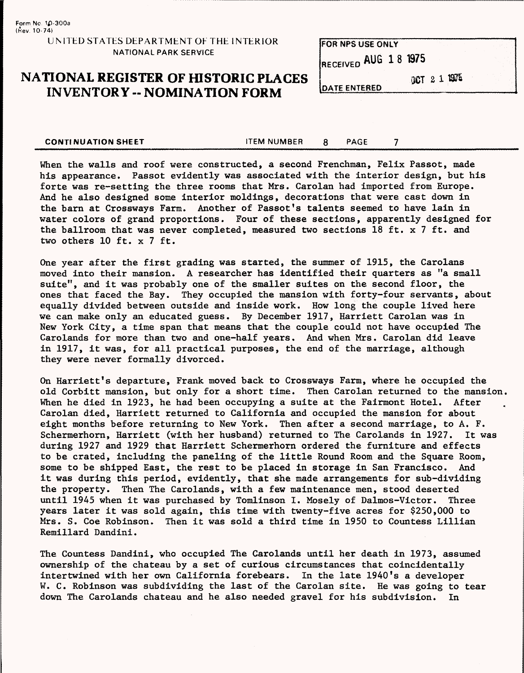Form Nc 10-3GOa (Kev. 10-74) UMTED STATES DEPARTMENT OF THE INTERIOR NATIONAL PARK SERVICE

## **NATIONAL REGISTER OF HISTORIC PLACES INVENTORY -- NOMINATION FORM**

**FOR NPS USE ONLY** RECEIVED AUG 1 8 1975

**DATE ENTERED** 

aCT 2 1 1975

**CONTINUATION SHEET** THE STEM NUMBER 8 PAGE 7

When the walls and roof were constructed, a second Frenchman, Felix Passot, made his appearance. Passot evidently was associated with the interior design, but his forte was re-setting the three rooms that Mrs. Carolan had imported from Europe. And he also designed some interior moldings, decorations that were cast down in the barn at Crossways Farm. Another of Passot's talents seemed to have lain in water colors of grand proportions. Four of these sections, apparently designed for the ballroom that was never completed, measured two sections 18 ft. x 7 ft. and two others 10 ft. x 7 ft.

One year after the first grading was started, the summer of 1915, the Carolans moved into their mansion. A researcher has identified their quarters as "a small suite", and it was probably one of the smaller suites on the second floor, the ones that faced the Bay. They occupied the mansion with forty-four servants, about equally divided between outside and inside work. How long the couple lived here we can make only an educated guess. By December 1917, Harriett Carolan was in New York City, a time span that means that the couple could not have occupied The Carolands for more than two and one-half years. And when Mrs. Carolan did leave in 1917, it was, for all practical purposes, the end of the marriage, although they were never formally divorced.

On Harriett's departure, Frank moved back to Crossways Farm, where he occupied the old Corbitt mansion, but only for a short time. Then Carolan returned to the mansion, When he died in 1923, he had been occupying a suite at the Fairmont Hotel. After Carolan died, Harriett returned to California and occupied the mansion for about eight months before returning to New York. Then after a second marriage, to A. F. Schermerhorn, Harriett (with her husband) returned to The Carolands in 1927. It was during 1927 and 1929 that Harriett Schermerhorn ordered the furniture and effects to be crated, including the paneling of the little Round Room and the Square Room, some to be shipped East, the rest to be placed in storage in San Francisco. And it was during this period, evidently, that she made arrangements for sub-dividing the property. Then The Carolands, with a few maintenance men, stood deserted until 1945 when it was purchased by Tomlinson I. Mosely of Dalmos-Victor. Three years later it was sold again, this time with twenty-five acres for \$250,000 to Mrs. S. Coe Robinson. Then it was sold a third time in 1950 to Countess Lillian Remillard Dandini.

The Countess Dandini, who occupied The Carolands until her death in 1973, assumed ownership of the chateau by a set of curious circumstances that coincidentally intertwined with her own California forebears. In the late 1940's a developer W. C. Robinson was subdividing the last of the Carolan site. He was going to tear down The Carolands chateau and he also needed gravel for his subdivision. In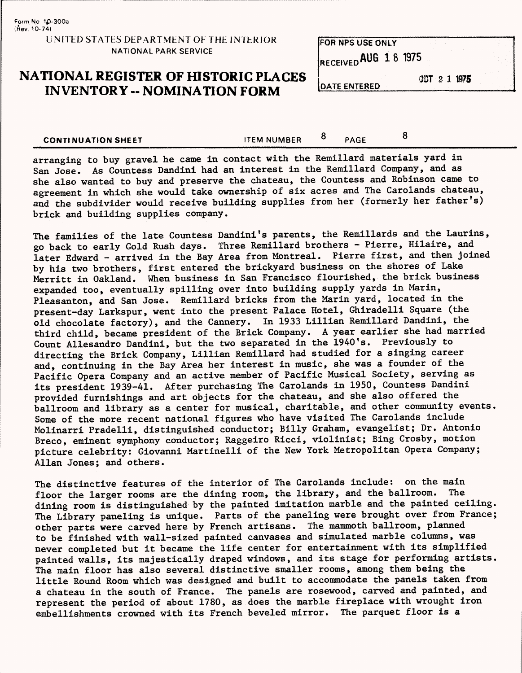#### UNITED STATES DEPARTMENT OF THE INTERIOR NATIONAL PARK SERVICE

## **NATIONAL REGISTER OF HISTORIC PLACES INVENTORY -- NOMINATION FORM**

FOR NPS USE ONLY RECEIVED AUG 18 1975

**DATE ENTERED** 

CCT 2 1 1975

**CONTINUATION SHEET** THEM NUMBER  $\frac{8}{2}$  PAGE 8

arranging to buy gravel he came in contact with the Remillard materials yard in San Jose. As Countess Dandini had an interest in the Remillard Company, and as she also wanted to buy and preserve the chateau, the Countess and Robinson came to agreement in which she would take ownership of six acres and The Carolands chateau, and the subdivider would receive building supplies from her (formerly her father's) brick and building supplies company.

The families of the late Countess Dandini's parents, the Remillards and the Laurins, go back to early Gold Rush days. Three Remillard brothers - Pierre, Hilaire, and later Edward - arrived in the Bay Area from Montreal. Pierre first, and then joined by his two brothers, first entered the brickyard business on the shores of Lake Merritt in Oakland. When business in San Francisco flourished, the brick business expanded too, eventually spilling over into building supply yards in Marin, Pleasanton, and San Jose. Remillard bricks from the Marin yard, located in the present-day Larkspur, went into the present Palace Hotel, Ghiradelli Square (the old chocolate factory), and the Cannery. In 1933 Lillian Remillard Dandini, the third child, became president of the Brick Company. A year earlier she had married Count Allesandro Dandini, but the two separated in the 1940's. Previously to directing the Brick Company, Lillian Remillard had studied for a singing career and, continuing in the Bay Area her interest in music, she was a founder of the Pacific Opera Company and an active member of Pacific Musical Society, serving as its president 1939-41. After purchasing The Carolands in 1950, Countess Dandini provided furnishings and art objects for the chateau, and she also offered the ballroom and library as a center for musical, charitable, and other community events. Some of the more recent national figures who have visited The Carolands include Molinarri Pradelli, distinguished conductor; Billy Graham, evangelist; Dr. Antonio Breco, eminent symphony conductor; Raggeiro Ricci, violinist; Bing Crosby, motion picture celebrity: Giovanni Martinelli of the New York Metropolitan Opera Company; Allan Jones; and others.

The distinctive features of the interior of The Carolands include: on the main floor the larger rooms are the dining room, the library, and the ballroom. The dining room is distinguished by the painted imitation marble and the painted ceiling. The Library paneling is unique. Parts of the paneling were brought over from France; other parts were carved here by French artisans. The mammoth ballroom, planned to be finished with wall-sized painted canvases and simulated marble columns, was never completed but it became the life center for entertainment with its simplified painted walls, its majestically draped windows, and its stage for performing artists. The main floor has also several distinctive smaller rooms, among them being the little Round Room which was designed and built to accommodate the panels taken from a chateau in the south of France. The panels are rosewood, carved and painted, and represent the period of about 1780, as does the marble fireplace with wrought iron embellishments crowned with its French beveled mirror. The parquet floor is a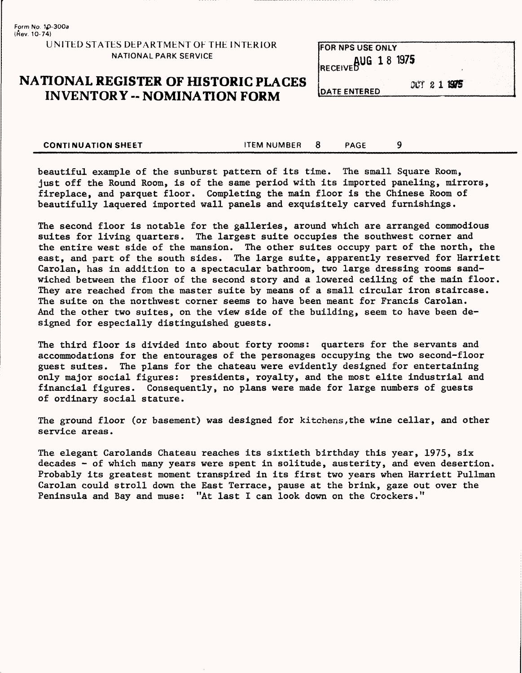#### UNITED STATES DEPARTMENT OF THE INTERIOR NATIONAL PARK SERVICE

## **NATIONAL REGISTER OF HISTORIC PLACES INVENTORY -- NOMINATION FORM**

| <b>IFOR NPS USE ONLY</b> |              |  |
|--------------------------|--------------|--|
| IRECEIVEDUG 18 1975      |              |  |
| <b>IDATE ENTERED</b>     | OCT 2 1 1975 |  |

**CONTINUATION SHEET** THEM NUMBER 8 PAGE 9

beautiful example of the sunburst pattern of its time. The small Square Room, just off the Round Room, is of the same period with its imported paneling, mirrors, fireplace, and parquet floor. Completing the main floor is the Chinese Room of beautifully laquered imported wall panels and exquisitely carved furnishings.

The second floor is notable for the galleries, around which are arranged commodious suites for living quarters. The largest suite occupies the southwest corner and the entire west side of the mansion. The other suites occupy part of the north, the east, and part of the south sides. The large suite, apparently reserved for Harriett Carolan, has in addition to a spectacular bathroom, two large dressing rooms sandwiched between the floor of the second story and a lowered ceiling of the main floor. They are reached from the master suite by means of a small circular iron staircase. The suite on the northwest corner seems to have been meant for Francis Carolan. And the other two suites, on the view side of the building, seem to have been designed for especially distinguished guests.

The third floor is divided into about forty rooms: quarters for the servants and accommodations for the entourages of the personages occupying the two second-floor guest suites. The plans for the chateau were evidently designed for entertaining only major social figures: presidents, royalty, and the most elite industrial and financial figures. Consequently, no plans were made for large numbers of guests of ordinary social stature.

The ground floor (or basement) was designed for kitchens,the wine cellar, and other service areas.

The elegant Carolands Chateau reaches its sixtieth birthday this year, 1975, six decades - of which many years were spent in solitude, austerity, and even desertion. Probably its greatest moment transpired in its first two years when Harriett Pullman Carolan could stroll down the East Terrace, pause at the brink, gaze out over the Peninsula and Bay and muse: "At last I can look down on the Crockers."